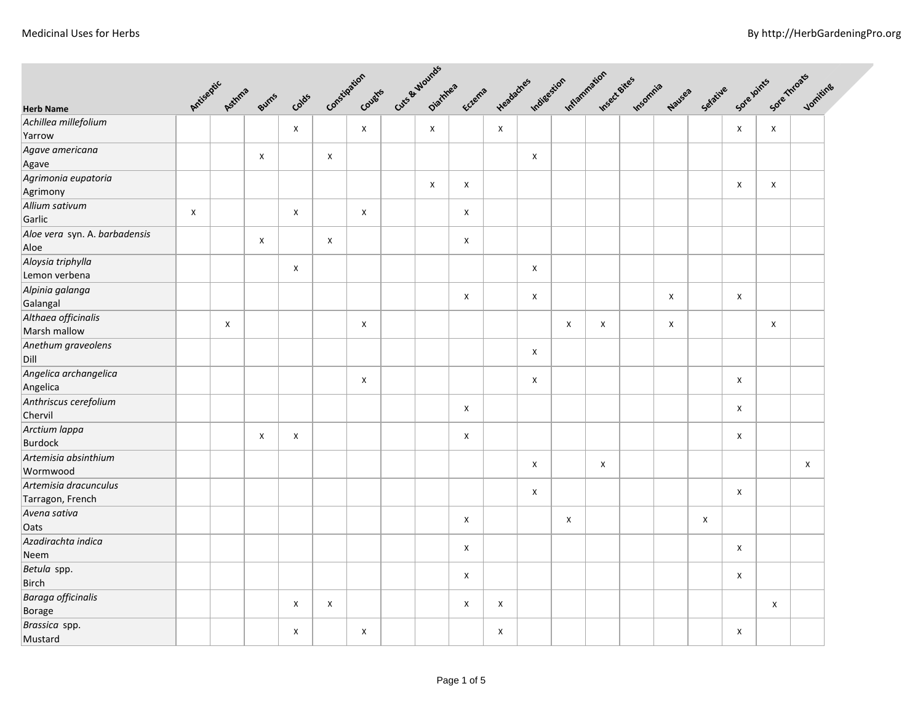| <b>Herb Name</b>                          |   | Antiseptic Asthms | Burns          | Colds |                |                           | Constitution cutes cute a wounds | Eczema |             | Headaches indigestion inflammation reserves |   |                           | Insomnia | Nauses | Sefative | Sore loints               | Sole Throats Journalise   |   |  |
|-------------------------------------------|---|-------------------|----------------|-------|----------------|---------------------------|----------------------------------|--------|-------------|---------------------------------------------|---|---------------------------|----------|--------|----------|---------------------------|---------------------------|---|--|
| Achillea millefolium                      |   |                   |                |       |                |                           |                                  |        |             |                                             |   |                           |          |        |          |                           |                           |   |  |
| Yarrow                                    |   |                   |                | Χ     |                | X                         | $\mathsf{X}$                     |        | $\mathsf X$ |                                             |   |                           |          |        |          | X                         | X                         |   |  |
| Agave americana<br>Agave                  |   |                   | $\pmb{\chi}$   |       | $\pmb{\times}$ |                           |                                  |        |             | X                                           |   |                           |          |        |          |                           |                           |   |  |
| Agrimonia eupatoria                       |   |                   |                |       |                |                           | X                                | X      |             |                                             |   |                           |          |        |          | X                         | X                         |   |  |
| Agrimony<br>Allium sativum<br>Garlic      | X |                   |                | X     |                | $\boldsymbol{\mathsf{x}}$ |                                  | X      |             |                                             |   |                           |          |        |          |                           |                           |   |  |
| Aloe vera syn. A. barbadensis<br>Aloe     |   |                   | $\pmb{\times}$ |       | X              |                           |                                  | X      |             |                                             |   |                           |          |        |          |                           |                           |   |  |
| Aloysia triphylla<br>Lemon verbena        |   |                   |                | X     |                |                           |                                  |        |             | X                                           |   |                           |          |        |          |                           |                           |   |  |
| Alpinia galanga<br>Galangal               |   |                   |                |       |                |                           |                                  | X      |             | X                                           |   |                           |          | X      |          | $\boldsymbol{\mathsf{X}}$ |                           |   |  |
| Althaea officinalis<br>Marsh mallow       |   | X                 |                |       |                | X                         |                                  |        |             |                                             | X | X                         |          | X      |          |                           | X                         |   |  |
| Anethum graveolens<br>Dill                |   |                   |                |       |                |                           |                                  |        |             | X                                           |   |                           |          |        |          |                           |                           |   |  |
| Angelica archangelica<br>Angelica         |   |                   |                |       |                | X                         |                                  |        |             | X                                           |   |                           |          |        |          | $\pmb{\times}$            |                           |   |  |
| Anthriscus cerefolium<br>Chervil          |   |                   |                |       |                |                           |                                  | X      |             |                                             |   |                           |          |        |          | $\pmb{\times}$            |                           |   |  |
| Arctium lappa<br><b>Burdock</b>           |   |                   | Χ              | X     |                |                           |                                  | X      |             |                                             |   |                           |          |        |          | $\boldsymbol{\mathsf{X}}$ |                           |   |  |
| Artemisia absinthium<br>Wormwood          |   |                   |                |       |                |                           |                                  |        |             | X                                           |   | $\boldsymbol{\mathsf{x}}$ |          |        |          |                           |                           | X |  |
| Artemisia dracunculus<br>Tarragon, French |   |                   |                |       |                |                           |                                  |        |             | X                                           |   |                           |          |        |          | $\pmb{\times}$            |                           |   |  |
| Avena sativa<br>Oats                      |   |                   |                |       |                |                           |                                  | X      |             |                                             | X |                           |          |        | X        |                           |                           |   |  |
| Azadirachta indica<br>Neem                |   |                   |                |       |                |                           |                                  | X      |             |                                             |   |                           |          |        |          | $\pmb{\times}$            |                           |   |  |
| Betula spp.<br>Birch                      |   |                   |                |       |                |                           |                                  | X      |             |                                             |   |                           |          |        |          | X                         |                           |   |  |
| Baraga officinalis<br>Borage              |   |                   |                | Χ     | $\pmb{\times}$ |                           |                                  | X      | X           |                                             |   |                           |          |        |          |                           | $\boldsymbol{\mathsf{x}}$ |   |  |
| Brassica spp.<br>Mustard                  |   |                   |                | X     |                | X                         |                                  |        | x           |                                             |   |                           |          |        |          | X                         |                           |   |  |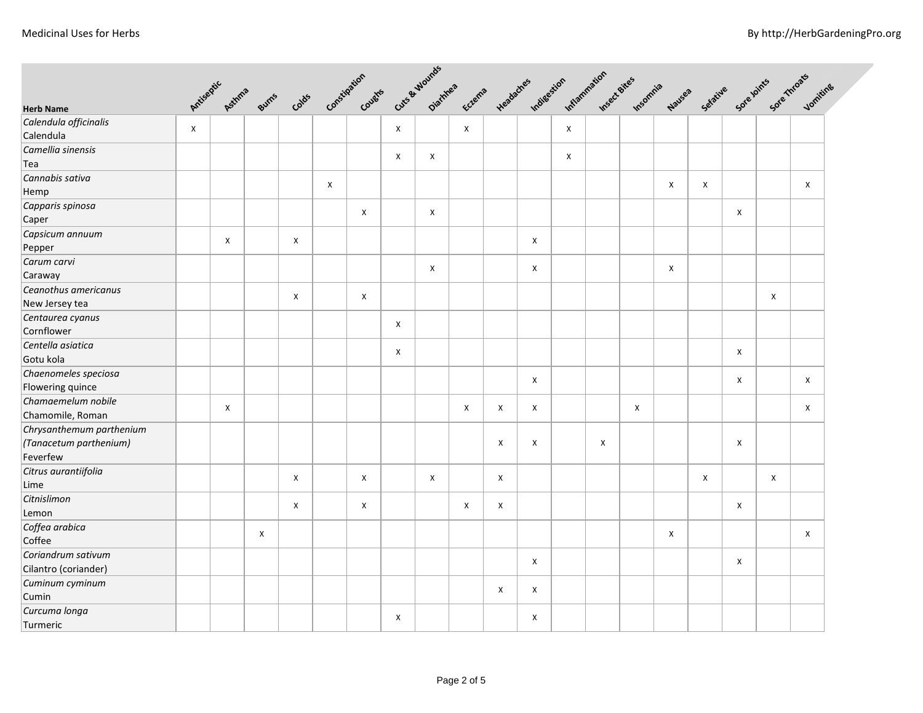|                          |   | Cute & Wounds<br>Constitution Country |       |                |                           |              |              |              |        |   |                       |              |              |          |        |   |                                           |                           |   |  |
|--------------------------|---|---------------------------------------|-------|----------------|---------------------------|--------------|--------------|--------------|--------|---|-----------------------|--------------|--------------|----------|--------|---|-------------------------------------------|---------------------------|---|--|
| <b>Herb Name</b>         |   | Antiseptic Asthms                     | Burns | Colds          |                           |              |              | Diamnes      | Eczema |   | Headaches Indigestion | Inflammation | Insect Sites | Insomnia | Nauses |   | Setative Sore Joints Sore Throats Jonning |                           |   |  |
| Calendula officinalis    |   |                                       |       |                |                           |              |              |              |        |   |                       |              |              |          |        |   |                                           |                           |   |  |
| Calendula                | X |                                       |       |                |                           |              | $\mathsf{x}$ |              | X      |   |                       | $\mathsf{x}$ |              |          |        |   |                                           |                           |   |  |
| Camellia sinensis        |   |                                       |       |                |                           |              |              |              |        |   |                       |              |              |          |        |   |                                           |                           |   |  |
| Tea                      |   |                                       |       |                |                           |              | X            | X            |        |   |                       | X            |              |          |        |   |                                           |                           |   |  |
| Cannabis sativa          |   |                                       |       |                |                           |              |              |              |        |   |                       |              |              |          |        |   |                                           |                           |   |  |
| Hemp                     |   |                                       |       |                | $\boldsymbol{\mathsf{x}}$ |              |              |              |        |   |                       |              |              |          | X      | X |                                           |                           | X |  |
| Capparis spinosa         |   |                                       |       |                |                           |              |              |              |        |   |                       |              |              |          |        |   |                                           |                           |   |  |
| Caper                    |   |                                       |       |                |                           | X            |              | X            |        |   |                       |              |              |          |        |   | X                                         |                           |   |  |
| Capsicum annuum          |   |                                       |       |                |                           |              |              |              |        |   |                       |              |              |          |        |   |                                           |                           |   |  |
| Pepper                   |   | X                                     |       | $\pmb{\times}$ |                           |              |              |              |        |   | X                     |              |              |          |        |   |                                           |                           |   |  |
| Carum carvi              |   |                                       |       |                |                           |              |              |              |        |   |                       |              |              |          |        |   |                                           |                           |   |  |
| Caraway                  |   |                                       |       |                |                           |              |              | X            |        |   | X                     |              |              |          | X      |   |                                           |                           |   |  |
| Ceanothus americanus     |   |                                       |       |                |                           |              |              |              |        |   |                       |              |              |          |        |   |                                           |                           |   |  |
| New Jersey tea           |   |                                       |       | $\pmb{\times}$ |                           | $\pmb{\chi}$ |              |              |        |   |                       |              |              |          |        |   |                                           | $\pmb{\times}$            |   |  |
| Centaurea cyanus         |   |                                       |       |                |                           |              |              |              |        |   |                       |              |              |          |        |   |                                           |                           |   |  |
| Cornflower               |   |                                       |       |                |                           |              | X            |              |        |   |                       |              |              |          |        |   |                                           |                           |   |  |
| Centella asiatica        |   |                                       |       |                |                           |              |              |              |        |   |                       |              |              |          |        |   |                                           |                           |   |  |
| Gotu kola                |   |                                       |       |                |                           |              | X            |              |        |   |                       |              |              |          |        |   | X                                         |                           |   |  |
| Chaenomeles speciosa     |   |                                       |       |                |                           |              |              |              |        |   |                       |              |              |          |        |   |                                           |                           |   |  |
| Flowering quince         |   |                                       |       |                |                           |              |              |              |        |   | X                     |              |              |          |        |   | X                                         |                           | Χ |  |
| Chamaemelum nobile       |   |                                       |       |                |                           |              |              |              |        |   |                       |              |              |          |        |   |                                           |                           |   |  |
| Chamomile, Roman         |   | $\mathsf{x}$                          |       |                |                           |              |              |              | X      | X | X                     |              |              | X        |        |   |                                           |                           | X |  |
| Chrysanthemum parthenium |   |                                       |       |                |                           |              |              |              |        |   |                       |              |              |          |        |   |                                           |                           |   |  |
| (Tanacetum parthenium)   |   |                                       |       |                |                           |              |              |              |        | X | X                     |              | X            |          |        |   | X                                         |                           |   |  |
| Feverfew                 |   |                                       |       |                |                           |              |              |              |        |   |                       |              |              |          |        |   |                                           |                           |   |  |
| Citrus aurantiifolia     |   |                                       |       |                |                           |              |              |              |        |   |                       |              |              |          |        |   |                                           |                           |   |  |
| Lime                     |   |                                       |       | $\pmb{\times}$ |                           | X            |              | $\mathsf{X}$ |        | X |                       |              |              |          |        | X |                                           | $\boldsymbol{\mathsf{X}}$ |   |  |
| Citnislimon              |   |                                       |       |                |                           |              |              |              |        |   |                       |              |              |          |        |   |                                           |                           |   |  |
| Lemon                    |   |                                       |       | X              |                           | X            |              |              | X      | X |                       |              |              |          |        |   | X                                         |                           |   |  |
| Coffea arabica           |   |                                       |       |                |                           |              |              |              |        |   |                       |              |              |          |        |   |                                           |                           |   |  |
| Coffee                   |   |                                       | X     |                |                           |              |              |              |        |   |                       |              |              |          | X      |   |                                           |                           | X |  |
| Coriandrum sativum       |   |                                       |       |                |                           |              |              |              |        |   |                       |              |              |          |        |   |                                           |                           |   |  |
| Cilantro (coriander)     |   |                                       |       |                |                           |              |              |              |        |   | X                     |              |              |          |        |   | Х                                         |                           |   |  |
| Cuminum cyminum          |   |                                       |       |                |                           |              |              |              |        |   |                       |              |              |          |        |   |                                           |                           |   |  |
| Cumin                    |   |                                       |       |                |                           |              |              |              |        | X | X                     |              |              |          |        |   |                                           |                           |   |  |
| Curcuma longa            |   |                                       |       |                |                           |              |              |              |        |   |                       |              |              |          |        |   |                                           |                           |   |  |
| Turmeric                 |   |                                       |       |                |                           |              | X            |              |        |   | X                     |              |              |          |        |   |                                           |                           |   |  |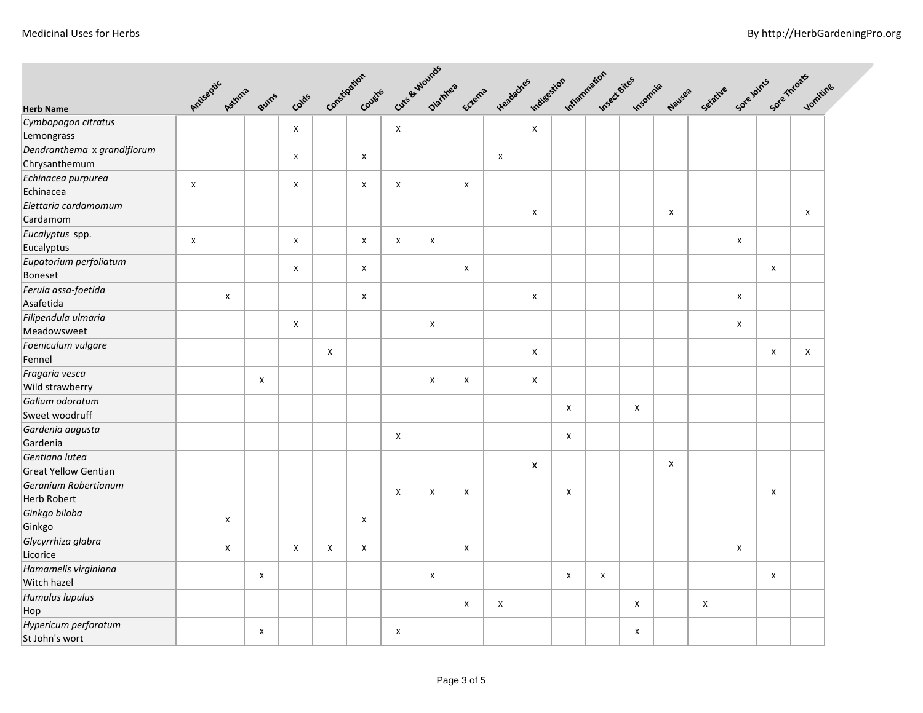|                                               |   |   |                         |       | Constitution Country |   |   |                | Cute & Wounds  |                |                |   | Headaches Indigestion Inflammation Lee Bites |          |              |   |                |   | Selative Sore loints Sore mroats Jonning |
|-----------------------------------------------|---|---|-------------------------|-------|----------------------|---|---|----------------|----------------|----------------|----------------|---|----------------------------------------------|----------|--------------|---|----------------|---|------------------------------------------|
| <b>Herb Name</b>                              |   |   | Antiseptic Asthma Burns | Colds |                      |   |   |                |                |                |                |   |                                              | Insomnia | Nauses       |   |                |   |                                          |
| Cymbopogon citratus<br>Lemongrass             |   |   |                         | X     |                      |   |   |                |                |                | X              |   |                                              |          |              |   |                |   |                                          |
| Dendranthema x grandiflorum<br>Chrysanthemum  |   |   |                         | X     |                      | X |   |                |                | X              |                |   |                                              |          |              |   |                |   |                                          |
| Echinacea purpurea<br>Echinacea               | X |   |                         | X     |                      | X | X |                | X              |                |                |   |                                              |          |              |   |                |   |                                          |
| Elettaria cardamomum<br>Cardamom              |   |   |                         |       |                      |   |   |                |                |                | $\pmb{\times}$ |   |                                              |          | $\pmb{\chi}$ |   |                |   | Χ                                        |
| Eucalyptus spp.<br>Eucalyptus                 | X |   |                         | X     |                      | X | X | X              |                |                |                |   |                                              |          |              |   | $\pmb{\times}$ |   |                                          |
| Eupatorium perfoliatum<br>Boneset             |   |   |                         | X     |                      | X |   |                | X              |                |                |   |                                              |          |              |   |                | X |                                          |
| Ferula assa-foetida<br>Asafetida              |   | X |                         |       |                      | X |   |                |                |                | $\pmb{\times}$ |   |                                              |          |              |   | X              |   |                                          |
| Filipendula ulmaria<br>Meadowsweet            |   |   |                         | X     |                      |   |   | X              |                |                |                |   |                                              |          |              |   | X              |   |                                          |
| Foeniculum vulgare<br>Fennel                  |   |   |                         |       | X                    |   |   |                |                |                | X              |   |                                              |          |              |   |                | X | X                                        |
| Fragaria vesca<br>Wild strawberry             |   |   | $\pmb{\times}$          |       |                      |   |   | $\pmb{\times}$ | $\pmb{\times}$ |                | $\pmb{\times}$ |   |                                              |          |              |   |                |   |                                          |
| Galium odoratum<br>Sweet woodruff             |   |   |                         |       |                      |   |   |                |                |                |                | X |                                              | X        |              |   |                |   |                                          |
| Gardenia augusta<br>Gardenia                  |   |   |                         |       |                      |   | X |                |                |                |                | X |                                              |          |              |   |                |   |                                          |
| Gentiana lutea<br><b>Great Yellow Gentian</b> |   |   |                         |       |                      |   |   |                |                |                | x              |   |                                              |          | X            |   |                |   |                                          |
| Geranium Robertianum<br><b>Herb Robert</b>    |   |   |                         |       |                      |   | X | X              | X              |                |                | X |                                              |          |              |   |                | X |                                          |
| Ginkgo biloba<br>Ginkgo                       |   | X |                         |       |                      | X |   |                |                |                |                |   |                                              |          |              |   |                |   |                                          |
| Glycyrrhiza glabra<br>Licorice                |   | X |                         | X     | X                    | X |   |                | X              |                |                |   |                                              |          |              |   | X              |   |                                          |
| Hamamelis virginiana<br>Witch hazel           |   |   | X                       |       |                      |   |   | X              |                |                |                | X | X                                            |          |              |   |                | Χ |                                          |
| Humulus lupulus<br>Hop                        |   |   |                         |       |                      |   |   |                | X              | $\pmb{\times}$ |                |   |                                              | X        |              | X |                |   |                                          |
| Hypericum perforatum<br>St John's wort        |   |   | X                       |       |                      |   | X |                |                |                |                |   |                                              | X        |              |   |                |   |                                          |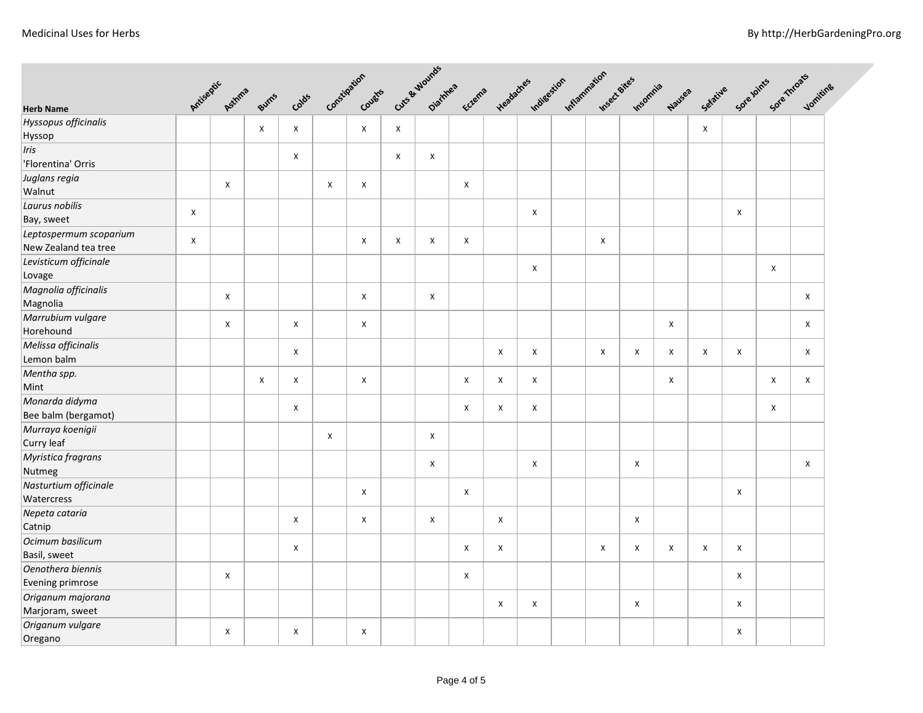|                                                |                |                   |              |                |                |                     |   |                           |        |              |                    |  |                                                 | Sore Joints Sore Throats  |                |          |   |                |                |
|------------------------------------------------|----------------|-------------------|--------------|----------------|----------------|---------------------|---|---------------------------|--------|--------------|--------------------|--|-------------------------------------------------|---------------------------|----------------|----------|---|----------------|----------------|
|                                                |                | Antiseptic Asthms |              |                |                | Constitution Coughs |   | Cute & Mounds<br>Diamea   | Eczema |              |                    |  | Headaches Indigestion Inflammation Insect Bites | Insomnia                  | Nauses         | Setative |   |                | Voniting       |
| <b>Herb Name</b>                               |                |                   | Burns        | Colds          |                |                     |   |                           |        |              |                    |  |                                                 |                           |                |          |   |                |                |
| Hyssopus officinalis<br>Hyssop                 |                |                   | $\mathsf{X}$ | $\pmb{\times}$ |                | $\pmb{\times}$      | X |                           |        |              |                    |  |                                                 |                           |                | X        |   |                |                |
| Iris<br>'Florentina' Orris                     |                |                   |              | X              |                |                     | X | X                         |        |              |                    |  |                                                 |                           |                |          |   |                |                |
| Juglans regia<br>Walnut                        |                | X                 |              |                | $\pmb{\times}$ | X                   |   |                           | X      |              |                    |  |                                                 |                           |                |          |   |                |                |
| Laurus nobilis<br>Bay, sweet                   | X              |                   |              |                |                |                     |   |                           |        |              | X                  |  |                                                 |                           |                |          | X |                |                |
| Leptospermum scoparium<br>New Zealand tea tree | $\pmb{\times}$ |                   |              |                |                | $\pmb{\times}$      | X | $\pmb{\times}$            | X      |              |                    |  | X                                               |                           |                |          |   |                |                |
| Levisticum officinale<br>Lovage                |                |                   |              |                |                |                     |   |                           |        |              | $\pmb{\mathsf{X}}$ |  |                                                 |                           |                |          |   | $\pmb{\times}$ |                |
| Magnolia officinalis<br>Magnolia               |                | X                 |              |                |                | X                   |   | X                         |        |              |                    |  |                                                 |                           |                |          |   |                | X              |
| Marrubium vulgare<br>Horehound                 |                | X                 |              | $\pmb{\times}$ |                | X                   |   |                           |        |              |                    |  |                                                 |                           | $\pmb{\times}$ |          |   |                | X              |
| Melissa officinalis<br>Lemon balm              |                |                   |              | X              |                |                     |   |                           |        | X            | X                  |  | X                                               | $\boldsymbol{\mathsf{X}}$ | X              | X        | X |                | X              |
| Mentha spp.<br>Mint                            |                |                   | $\pmb{\chi}$ | $\pmb{\times}$ |                | $\pmb{\chi}$        |   |                           | X      | X            | X                  |  |                                                 |                           | $\pmb{\chi}$   |          |   | $\pmb{\chi}$   | $\pmb{\times}$ |
| Monarda didyma<br>Bee balm (bergamot)          |                |                   |              | X              |                |                     |   |                           | X      | X            | X                  |  |                                                 |                           |                |          |   | X              |                |
| Murraya koenigii<br>Curry leaf                 |                |                   |              |                | $\pmb{\times}$ |                     |   | $\pmb{\times}$            |        |              |                    |  |                                                 |                           |                |          |   |                |                |
| Myristica fragrans<br>Nutmeg                   |                |                   |              |                |                |                     |   | $\boldsymbol{\mathsf{X}}$ |        |              | X                  |  |                                                 | $\mathsf{X}$              |                |          |   |                | X              |
| Nasturtium officinale<br>Watercress            |                |                   |              |                |                | Χ                   |   |                           | X      |              |                    |  |                                                 |                           |                |          | X |                |                |
| Nepeta cataria<br>Catnip                       |                |                   |              | $\pmb{\times}$ |                | $\pmb{\times}$      |   | $\pmb{\times}$            |        | $\mathsf{x}$ |                    |  |                                                 | $\mathsf{X}$              |                |          |   |                |                |
| Ocimum basilicum<br>Basil, sweet               |                |                   |              | X              |                |                     |   |                           | X      | X            |                    |  | X                                               | X                         | X              | X        | X |                |                |
| Oenothera biennis<br>Evening primrose          |                | X                 |              |                |                |                     |   |                           | X      |              |                    |  |                                                 |                           |                |          | X |                |                |
| Origanum majorana<br>Marjoram, sweet           |                |                   |              |                |                |                     |   |                           |        | X            | X                  |  |                                                 | X                         |                |          | X |                |                |
| Origanum vulgare<br>Oregano                    |                | X                 |              | $\pmb{\times}$ |                | X                   |   |                           |        |              |                    |  |                                                 |                           |                |          | X |                |                |